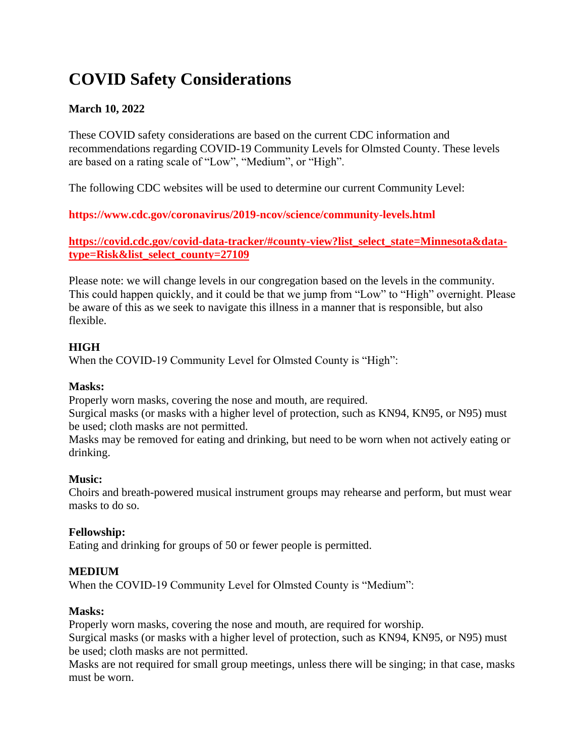# **COVID Safety Considerations**

# **March 10, 2022**

These COVID safety considerations are based on the current CDC information and recommendations regarding COVID-19 Community Levels for Olmsted County. These levels are based on a rating scale of "Low", "Medium", or "High".

The following CDC websites will be used to determine our current Community Level:

**https://www.cdc.gov/coronavirus/2019-ncov/science/community-levels.html**

## **https://covid.cdc.gov/covid-data-tracker/#county-view?list\_select\_state=Minnesota&datatype=Risk&list\_select\_county=27109**

Please note: we will change levels in our congregation based on the levels in the community. This could happen quickly, and it could be that we jump from "Low" to "High" overnight. Please be aware of this as we seek to navigate this illness in a manner that is responsible, but also flexible.

# **HIGH**

When the COVID-19 Community Level for Olmsted County is "High":

## **Masks:**

Properly worn masks, covering the nose and mouth, are required.

Surgical masks (or masks with a higher level of protection, such as KN94, KN95, or N95) must be used; cloth masks are not permitted.

Masks may be removed for eating and drinking, but need to be worn when not actively eating or drinking.

# **Music:**

Choirs and breath-powered musical instrument groups may rehearse and perform, but must wear masks to do so.

# **Fellowship:**

Eating and drinking for groups of 50 or fewer people is permitted.

# **MEDIUM**

When the COVID-19 Community Level for Olmsted County is "Medium":

## **Masks:**

Properly worn masks, covering the nose and mouth, are required for worship.

Surgical masks (or masks with a higher level of protection, such as KN94, KN95, or N95) must be used; cloth masks are not permitted.

Masks are not required for small group meetings, unless there will be singing; in that case, masks must be worn.